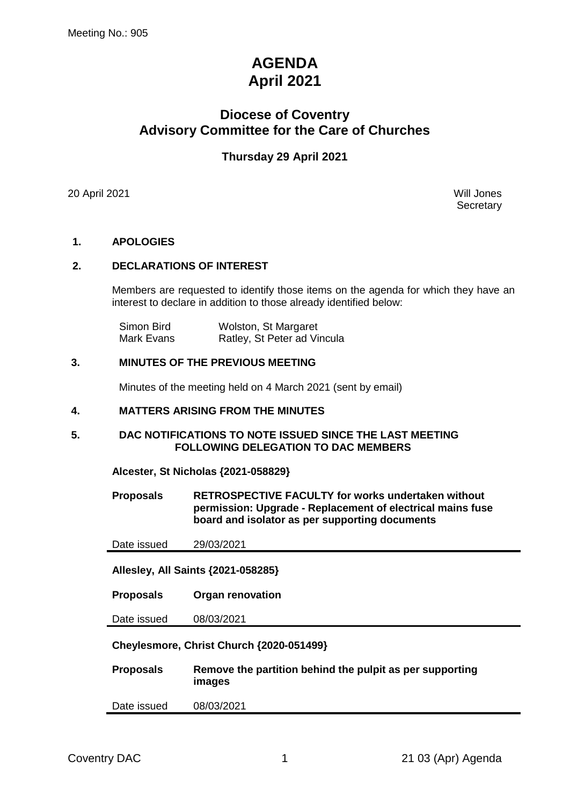# **AGENDA April 2021**

## **Diocese of Coventry Advisory Committee for the Care of Churches**

## **Thursday 29 April 2021**

20 April 2021 Will Jones

**Secretary** 

#### **1. APOLOGIES**

#### **2. DECLARATIONS OF INTEREST**

Members are requested to identify those items on the agenda for which they have an interest to declare in addition to those already identified below:

| Simon Bird | Wolston, St Margaret        |
|------------|-----------------------------|
| Mark Evans | Ratley, St Peter ad Vincula |

#### **3. MINUTES OF THE PREVIOUS MEETING**

Minutes of the meeting held on 4 March 2021 (sent by email)

#### **4. MATTERS ARISING FROM THE MINUTES**

#### **5. DAC NOTIFICATIONS TO NOTE ISSUED SINCE THE LAST MEETING FOLLOWING DELEGATION TO DAC MEMBERS**

**Alcester, St Nicholas {2021-058829}**

**Proposals RETROSPECTIVE FACULTY for works undertaken without permission: Upgrade - Replacement of electrical mains fuse board and isolator as per supporting documents**

Date issued 29/03/2021

**Allesley, All Saints {2021-058285}**

**Proposals Organ renovation**

Date issued 08/03/2021

**Cheylesmore, Christ Church {2020-051499}**

| <b>Proposals</b> | Remove the partition behind the pulpit as per supporting |
|------------------|----------------------------------------------------------|
|                  | images                                                   |

Date issued 08/03/2021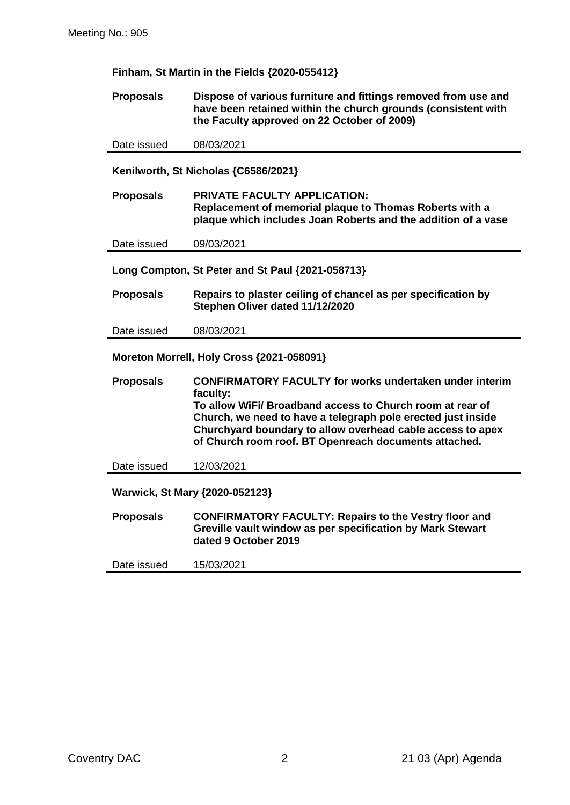**Finham, St Martin in the Fields {2020-055412}**

**Proposals Dispose of various furniture and fittings removed from use and have been retained within the church grounds (consistent with the Faculty approved on 22 October of 2009)**

Date issued 08/03/2021

**Kenilworth, St Nicholas {C6586/2021}**

**Proposals PRIVATE FACULTY APPLICATION: Replacement of memorial plaque to Thomas Roberts with a plaque which includes Joan Roberts and the addition of a vase**

Date issued 09/03/2021

**Long Compton, St Peter and St Paul {2021-058713}**

**Proposals Repairs to plaster ceiling of chancel as per specification by Stephen Oliver dated 11/12/2020**

Date issued 08/03/2021

**Moreton Morrell, Holy Cross {2021-058091}**

**Proposals CONFIRMATORY FACULTY for works undertaken under interim faculty: To allow WiFi/ Broadband access to Church room at rear of Church, we need to have a telegraph pole erected just inside Churchyard boundary to allow overhead cable access to apex of Church room roof. BT Openreach documents attached.**

Date issued 12/03/2021

**Warwick, St Mary {2020-052123}**

**Proposals CONFIRMATORY FACULTY: Repairs to the Vestry floor and Greville vault window as per specification by Mark Stewart dated 9 October 2019**

Date issued 15/03/2021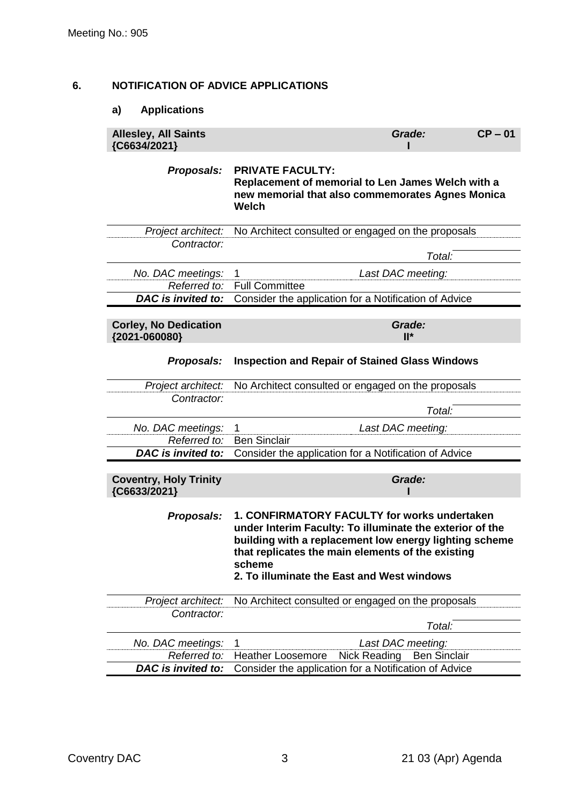## **6. NOTIFICATION OF ADVICE APPLICATIONS**

## **a) Applications**

| <b>Allesley, All Saints</b><br>{C6634/2021}   | Grade:<br>$CP - 01$                                                                                                                                                                                                                                                             |
|-----------------------------------------------|---------------------------------------------------------------------------------------------------------------------------------------------------------------------------------------------------------------------------------------------------------------------------------|
| Proposals:                                    | <b>PRIVATE FACULTY:</b><br>Replacement of memorial to Len James Welch with a<br>new memorial that also commemorates Agnes Monica<br><b>Welch</b>                                                                                                                                |
| Project architect:                            | No Architect consulted or engaged on the proposals                                                                                                                                                                                                                              |
| Contractor:                                   | Total:                                                                                                                                                                                                                                                                          |
| No. DAC meetings:                             | Last DAC meeting:<br>1                                                                                                                                                                                                                                                          |
| Referred to:                                  | <b>Full Committee</b>                                                                                                                                                                                                                                                           |
| DAC is invited to:                            | Consider the application for a Notification of Advice                                                                                                                                                                                                                           |
| <b>Corley, No Dedication</b><br>{2021-060080} | Grade:<br>$II^*$                                                                                                                                                                                                                                                                |
| Proposals:                                    | <b>Inspection and Repair of Stained Glass Windows</b>                                                                                                                                                                                                                           |
| Project architect:                            | No Architect consulted or engaged on the proposals                                                                                                                                                                                                                              |
| Contractor:                                   |                                                                                                                                                                                                                                                                                 |
|                                               | Total:                                                                                                                                                                                                                                                                          |
| No. DAC meetings:                             | Last DAC meeting:<br>1                                                                                                                                                                                                                                                          |
| Referred to:<br>DAC is invited to:            | <b>Ben Sinclair</b><br>Consider the application for a Notification of Advice                                                                                                                                                                                                    |
|                                               |                                                                                                                                                                                                                                                                                 |
| <b>Coventry, Holy Trinity</b><br>{C6633/2021} | Grade:                                                                                                                                                                                                                                                                          |
| Proposals:                                    | 1. CONFIRMATORY FACULTY for works undertaken<br>under Interim Faculty: To illuminate the exterior of the<br>building with a replacement low energy lighting scheme<br>that replicates the main elements of the existing<br>scheme<br>2. To illuminate the East and West windows |
| Project architect:                            | No Architect consulted or engaged on the proposals                                                                                                                                                                                                                              |
| Contractor:                                   |                                                                                                                                                                                                                                                                                 |
|                                               | Total:                                                                                                                                                                                                                                                                          |
| No. DAC meetings:                             | Last DAC meeting:<br>1                                                                                                                                                                                                                                                          |
| Referred to:                                  | <b>Heather Loosemore</b><br>Nick Reading<br><b>Ben Sinclair</b>                                                                                                                                                                                                                 |
| <b>DAC</b> is invited to:                     | Consider the application for a Notification of Advice                                                                                                                                                                                                                           |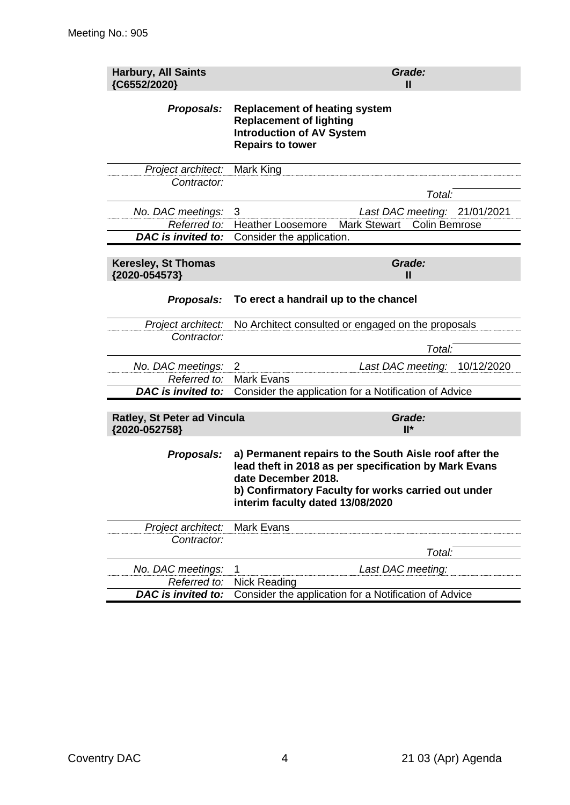| <b>Harbury, All Saints</b><br>{C6552/2020}          |                                                                                                                                                                                                                                   | Grade:<br>Ш                                 |            |
|-----------------------------------------------------|-----------------------------------------------------------------------------------------------------------------------------------------------------------------------------------------------------------------------------------|---------------------------------------------|------------|
| Proposals:                                          | <b>Replacement of heating system</b><br><b>Replacement of lighting</b><br><b>Introduction of AV System</b><br><b>Repairs to tower</b>                                                                                             |                                             |            |
| Project architect:                                  | Mark King                                                                                                                                                                                                                         |                                             |            |
| Contractor:                                         |                                                                                                                                                                                                                                   | Total:                                      |            |
| No. DAC meetings:                                   | 3                                                                                                                                                                                                                                 | Last DAC meeting: 21/01/2021                |            |
| Referred to:                                        | <b>Heather Loosemore</b>                                                                                                                                                                                                          | <b>Mark Stewart</b><br><b>Colin Bemrose</b> |            |
| <b>DAC</b> is invited to:                           | Consider the application.                                                                                                                                                                                                         |                                             |            |
| <b>Keresley, St Thomas</b><br>{2020-054573}         |                                                                                                                                                                                                                                   | Grade:<br>Ш                                 |            |
| Proposals:                                          | To erect a handrail up to the chancel                                                                                                                                                                                             |                                             |            |
| Project architect:                                  | No Architect consulted or engaged on the proposals                                                                                                                                                                                |                                             |            |
| Contractor:                                         |                                                                                                                                                                                                                                   | Total:                                      |            |
| No. DAC meetings:                                   | 2                                                                                                                                                                                                                                 | Last DAC meeting:                           | 10/12/2020 |
| Referred to:                                        | <b>Mark Evans</b>                                                                                                                                                                                                                 |                                             |            |
| DAC is invited to:                                  | Consider the application for a Notification of Advice                                                                                                                                                                             |                                             |            |
| <b>Ratley, St Peter ad Vincula</b><br>{2020-052758} |                                                                                                                                                                                                                                   | Grade:<br>$II^*$                            |            |
| Proposals:                                          | a) Permanent repairs to the South Aisle roof after the<br>lead theft in 2018 as per specification by Mark Evans<br>date December 2018.<br>b) Confirmatory Faculty for works carried out under<br>interim faculty dated 13/08/2020 |                                             |            |
| Project architect:                                  | <b>Mark Evans</b>                                                                                                                                                                                                                 |                                             |            |
| Contractor:                                         |                                                                                                                                                                                                                                   |                                             |            |
|                                                     |                                                                                                                                                                                                                                   | Total:                                      |            |
| No. DAC meetings:                                   | 1                                                                                                                                                                                                                                 | Last DAC meeting:                           |            |
| Referred to:                                        | <b>Nick Reading</b>                                                                                                                                                                                                               |                                             |            |
| <b>DAC</b> is invited to:                           | Consider the application for a Notification of Advice                                                                                                                                                                             |                                             |            |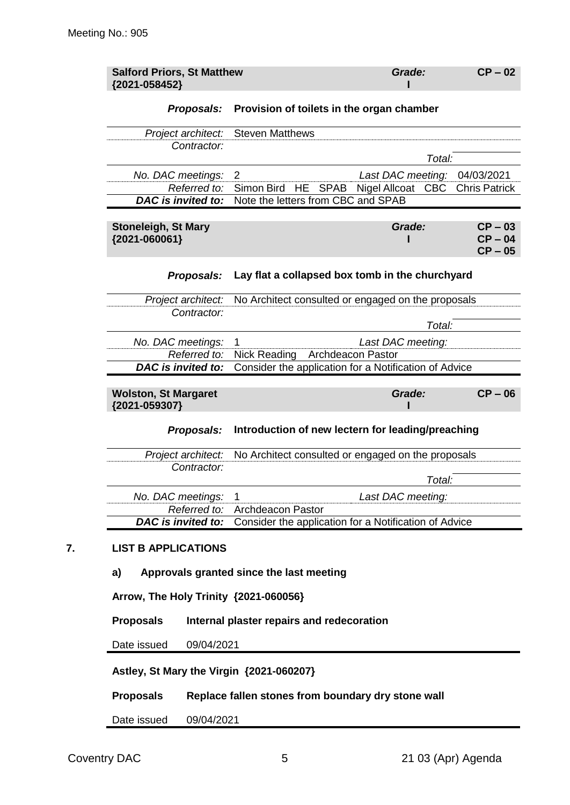| {2021-058452}                                                                 | <b>Salford Priors, St Matthew</b>                                                                                             | Grade:                   | $CP - 02$                           |
|-------------------------------------------------------------------------------|-------------------------------------------------------------------------------------------------------------------------------|--------------------------|-------------------------------------|
| Proposals:                                                                    | Provision of toilets in the organ chamber                                                                                     |                          |                                     |
| Project architect:                                                            | <b>Steven Matthews</b>                                                                                                        |                          |                                     |
| Contractor:                                                                   |                                                                                                                               | Total:                   |                                     |
| No. DAC meetings:                                                             | $\overline{2}$<br>Simon Bird                                                                                                  | Last DAC meeting:        | 04/03/2021                          |
| Referred to:<br><b>DAC</b> is invited to:                                     | HE<br><b>SPAB</b><br>Note the letters from CBC and SPAB                                                                       | Nigel Allcoat CBC        | <b>Chris Patrick</b>                |
| <b>Stoneleigh, St Mary</b><br>{2021-060061}                                   |                                                                                                                               | Grade:                   | $CP - 03$<br>$CP - 04$<br>$CP - 05$ |
| Proposals:                                                                    | Lay flat a collapsed box tomb in the churchyard                                                                               |                          |                                     |
| Project architect:                                                            | No Architect consulted or engaged on the proposals                                                                            |                          |                                     |
| Contractor:                                                                   |                                                                                                                               | Total:                   |                                     |
| No. DAC meetings:                                                             | 1                                                                                                                             | Last DAC meeting:        |                                     |
| Referred to:<br><b>DAC</b> is invited to:                                     | Nick Reading<br>Consider the application for a Notification of Advice                                                         | <b>Archdeacon Pastor</b> |                                     |
|                                                                               |                                                                                                                               |                          |                                     |
| <b>Wolston, St Margaret</b><br>{2021-059307}                                  |                                                                                                                               | Grade:                   | $CP - 06$                           |
|                                                                               | Introduction of new lectern for leading/preaching                                                                             |                          |                                     |
| Proposals:                                                                    |                                                                                                                               |                          |                                     |
| Project architect:<br>Contractor:                                             | No Architect consulted or engaged on the proposals                                                                            |                          |                                     |
|                                                                               |                                                                                                                               | Total:                   |                                     |
| No. DAC meetings:                                                             | 1                                                                                                                             | Last DAC meeting:        |                                     |
|                                                                               |                                                                                                                               |                          |                                     |
| Referred to:<br><b>DAC</b> is invited to:<br><b>LIST B APPLICATIONS</b><br>a) | <b>Archdeacon Pastor</b><br>Consider the application for a Notification of Advice<br>Approvals granted since the last meeting |                          |                                     |
| Arrow, The Holy Trinity {2021-060056}                                         |                                                                                                                               |                          |                                     |
| <b>Proposals</b>                                                              | Internal plaster repairs and redecoration                                                                                     |                          |                                     |
| 09/04/2021<br>Date issued                                                     |                                                                                                                               |                          |                                     |
| Astley, St Mary the Virgin {2021-060207}                                      |                                                                                                                               |                          |                                     |

Date issued 09/04/2021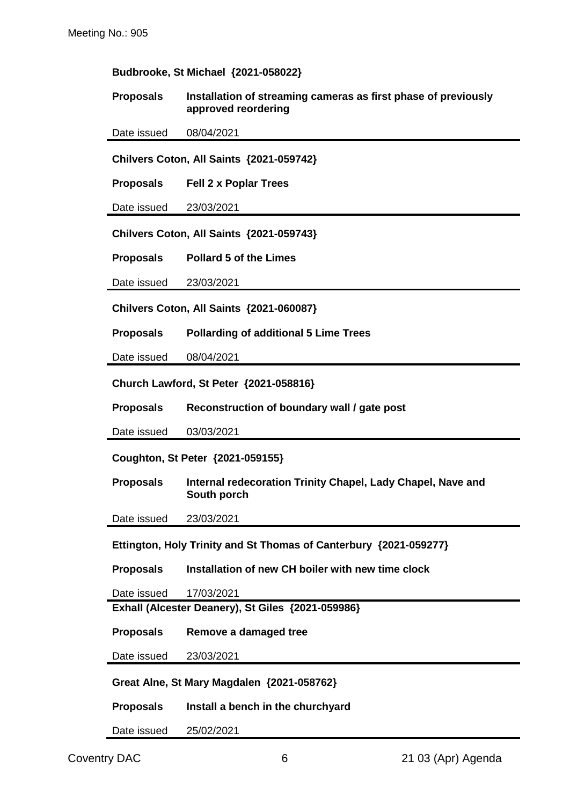#### **Budbrooke, St Michael {2021-058022}**

**Proposals Installation of streaming cameras as first phase of previously approved reordering**

Date issued 08/04/2021

**Chilvers Coton, All Saints {2021-059742}**

**Proposals Fell 2 x Poplar Trees**

Date issued 23/03/2021

**Chilvers Coton, All Saints {2021-059743}**

**Proposals Pollard 5 of the Limes**

Date issued 23/03/2021

**Chilvers Coton, All Saints {2021-060087}**

**Proposals Pollarding of additional 5 Lime Trees**

Date issued 08/04/2021

**Church Lawford, St Peter {2021-058816}**

**Proposals Reconstruction of boundary wall / gate post**

Date issued 03/03/2021

**Coughton, St Peter {2021-059155}**

**Proposals Internal redecoration Trinity Chapel, Lady Chapel, Nave and South porch**

Date issued 23/03/2021

**Ettington, Holy Trinity and St Thomas of Canterbury {2021-059277}**

**Proposals Installation of new CH boiler with new time clock**

Date issued 17/03/2021

**Exhall (Alcester Deanery), St Giles {2021-059986}**

**Proposals Remove a damaged tree**

Date issued 23/03/2021

**Great Alne, St Mary Magdalen {2021-058762}**

**Proposals Install a bench in the churchyard**

Date issued 25/02/2021